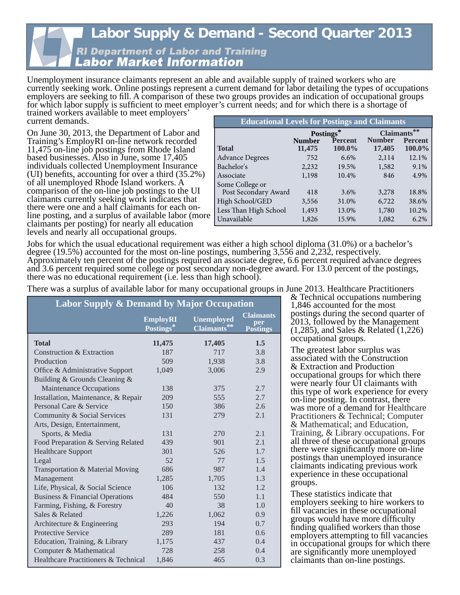#### **Labor Supply & Demand - Second Quarter 2013 RI Department of Labor and Training** Labor Market Information

Unemployment insurance claimants represent an able and available supply of trained workers who are currently seeking work. Online postings represent a current demand for labor detailing the types of occupations employers are seeking to fill. A comparison of these two groups provides an indication of occupational groups for which labor supply is sufficient to meet employer's current needs; and for which there is a shortage of

trained workers available to meet employers' current demands.

On June 30, 2013, the Department of Labor and Training's EmployRI on-line network recorded 11,475 on-line job postings from Rhode Island based businesses. Also in June, some 17,405 individuals collected Unemployment Insurance (UI) benefits, accounting for over a third  $(35.2%)$ of all unemployed Rhode Island workers. A comparison of the on-line job postings to the UI claimants currently seeking work indicates that there were one and a half claimants for each online posting, and a surplus of available labor (more claimants per posting) for nearly all education levels and nearly all occupational groups.

| <b>Educational Levels for Postings and Claimants</b> |                         |                          |                         |                          |  |
|------------------------------------------------------|-------------------------|--------------------------|-------------------------|--------------------------|--|
|                                                      |                         | Postings*                | Claimants**             |                          |  |
| <b>Total</b>                                         | <b>Number</b><br>11,475 | <b>Percent</b><br>100.0% | <b>Number</b><br>17,405 | <b>Percent</b><br>100.0% |  |
| <b>Advance Degrees</b>                               | 752                     | 6.6%                     | 2,114                   | 12.1%                    |  |
| Bachelor's                                           | 2,232                   | 19.5%                    | 1,582                   | 9.1%                     |  |
| Associate                                            | 1,198                   | 10.4%                    | 846                     | 4.9%                     |  |
| Some College or                                      |                         |                          |                         |                          |  |
| Post Secondary Award                                 | 418                     | 3.6%                     | 3,278                   | 18.8%                    |  |
| High School/GED                                      | 3,556                   | 31.0%                    | 6,722                   | 38.6%                    |  |
| Less Than High School                                | 1,493                   | 13.0%                    | 1,780                   | 10.2%                    |  |
| Unavailable                                          | 1,826                   | 15.9%                    | 1,082                   | 6.2%                     |  |

Jobs for which the usual educational requirement was either a high school diploma (31.0%) or a bachelor's degree (19.5%) accounted for the most on-line postings, numbering 3,556 and 2,232, respectively. Approximately ten percent of the postings required an associate degree, 6.6 percent required advance degrees and 3.6 percent required some college or post secondary non-degree award. For 13.0 percent of the postings, there was no educational requirement (i.e. less than high school).

There was a surplus of available labor for many occupational groups in June 2013. Healthcare Practitioners

| <b>Labor Supply &amp; Demand by Major Occupation</b> |                              |                                  |                                            |  |
|------------------------------------------------------|------------------------------|----------------------------------|--------------------------------------------|--|
|                                                      | <b>EmployRI</b><br>Postings* | <b>Unemployed</b><br>Claimants** | <b>Claimants</b><br>per<br><b>Postings</b> |  |
| <b>Total</b>                                         | 11,475                       | 17,405                           | 1.5                                        |  |
| Construction & Extraction                            | 187                          | 717                              | 3.8                                        |  |
| Production                                           | 509                          | 1,938                            | 3.8                                        |  |
| Office & Administrative Support                      | 1,049                        | 3,006                            | 2.9                                        |  |
| Building & Grounds Cleaning &                        |                              |                                  |                                            |  |
| <b>Maintenance Occupations</b>                       | 138                          | 375                              | 2.7                                        |  |
| Installation, Maintenance, & Repair                  | 209                          | 555                              | 2.7                                        |  |
| Personal Care & Service                              | 150                          | 386                              | 2.6                                        |  |
| Community & Social Services                          | 131                          | 279                              | 2.1                                        |  |
| Arts, Design, Entertainment,                         |                              |                                  |                                            |  |
| Sports, & Media                                      | 131                          | 270                              | 2.1                                        |  |
| Food Preparation & Serving Related                   | 439                          | 901                              | 2.1                                        |  |
| <b>Healthcare Support</b>                            | 301                          | 526                              | 1.7                                        |  |
| Legal                                                | 52                           | 77                               | 1.5                                        |  |
| Transportation & Material Moving                     | 686                          | 987                              | 1.4                                        |  |
| Management                                           | 1,285                        | 1,705                            | 1.3                                        |  |
| Life, Physical, & Social Science                     | 106                          | 132                              | 1.2                                        |  |
| Business & Financial Operations                      | 484                          | 550                              | 1.1                                        |  |
| Farming, Fishing, & Forestry                         | 40                           | 38                               | 1.0                                        |  |
| Sales & Related                                      | 1,226                        | 1,062                            | 0.9                                        |  |
| Architecture & Engineering                           | 293                          | 194                              | 0.7                                        |  |
| <b>Protective Service</b>                            | 289                          | 181                              | 0.6                                        |  |
| Education, Training, & Library                       | 1,175                        | 437                              | 0.4                                        |  |
| Computer & Mathematical                              | 728                          | 258                              | 0.4                                        |  |
| Healthcare Practitioners & Technical                 | 1,846                        | 465                              | 0.3                                        |  |

& Technical occupations numbering 1,846 accounted for the most postings during the second quarter of 2013, followed by the Management (1,285), and Sales & Related (1,226) occupational groups.

The greatest labor surplus was associated with the Construction & Extraction and Production occupational groups for which there were nearly four UI claimants with this type of work experience for every on-line posting. In contrast, there was more of a demand for Healthcare Practitioners & Technical; Computer & Mathematical; and Education, Training, & Library occupations. For all three of these occupational groups there were significantly more on-line postings than unemployed insurance claimants indicating previous work experience in these occupational groups.

These statistics indicate that employers seeking to hire workers to fill vacancies in these occupational groups would have more difficulty finding qualified workers than those employers attempting to fill vacancies in occupational groups for which there are significantly more unemployed claimants than on-line postings.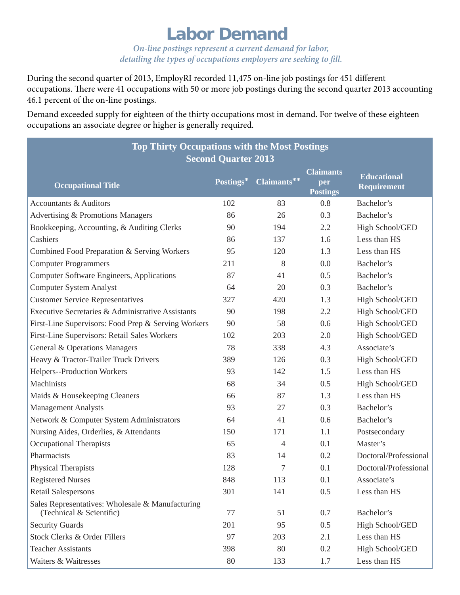### **Labor Demand**

*On-line postings represent a current demand for labor, detailing the types of occupations employers are seeking to fill.* 

During the second quarter of 2013, EmployRI recorded 11,475 on-line job postings for 451 different occupations. There were 41 occupations with 50 or more job postings during the second quarter 2013 accounting 46.1 percent of the on-line postings.

Demand exceeded supply for eighteen of the thirty occupations most in demand. For twelve of these eighteen occupations an associate degree or higher is generally required.

| <b>Top Thirty Occupations with the Most Postings</b>                         |           |                |                                            |                                   |  |
|------------------------------------------------------------------------------|-----------|----------------|--------------------------------------------|-----------------------------------|--|
| <b>Second Quarter 2013</b>                                                   |           |                |                                            |                                   |  |
| <b>Occupational Title</b>                                                    | Postings* | Claimants**    | <b>Claimants</b><br>per<br><b>Postings</b> | <b>Educational</b><br>Requirement |  |
| <b>Accountants &amp; Auditors</b>                                            | 102       | 83             | 0.8                                        | Bachelor's                        |  |
| Advertising & Promotions Managers                                            | 86        | 26             | 0.3                                        | Bachelor's                        |  |
| Bookkeeping, Accounting, & Auditing Clerks                                   | 90        | 194            | 2.2                                        | High School/GED                   |  |
| Cashiers                                                                     | 86        | 137            | 1.6                                        | Less than HS                      |  |
| Combined Food Preparation & Serving Workers                                  | 95        | 120            | 1.3                                        | Less than HS                      |  |
| <b>Computer Programmers</b>                                                  | 211       | 8              | 0.0                                        | Bachelor's                        |  |
| <b>Computer Software Engineers, Applications</b>                             | 87        | 41             | 0.5                                        | Bachelor's                        |  |
| <b>Computer System Analyst</b>                                               | 64        | 20             | 0.3                                        | Bachelor's                        |  |
| <b>Customer Service Representatives</b>                                      | 327       | 420            | 1.3                                        | High School/GED                   |  |
| Executive Secretaries & Administrative Assistants                            | 90        | 198            | 2.2                                        | High School/GED                   |  |
| First-Line Supervisors: Food Prep & Serving Workers                          | 90        | 58             | 0.6                                        | High School/GED                   |  |
| First-Line Supervisors: Retail Sales Workers                                 | 102       | 203            | 2.0                                        | High School/GED                   |  |
| General & Operations Managers                                                | 78        | 338            | 4.3                                        | Associate's                       |  |
| Heavy & Tractor-Trailer Truck Drivers                                        | 389       | 126            | 0.3                                        | High School/GED                   |  |
| Helpers--Production Workers                                                  | 93        | 142            | 1.5                                        | Less than HS                      |  |
| Machinists                                                                   | 68        | 34             | 0.5                                        | High School/GED                   |  |
| Maids & Housekeeping Cleaners                                                | 66        | 87             | 1.3                                        | Less than HS                      |  |
| <b>Management Analysts</b>                                                   | 93        | 27             | 0.3                                        | Bachelor's                        |  |
| Network & Computer System Administrators                                     | 64        | 41             | 0.6                                        | Bachelor's                        |  |
| Nursing Aides, Orderlies, & Attendants                                       | 150       | 171            | 1.1                                        | Postsecondary                     |  |
| <b>Occupational Therapists</b>                                               | 65        | $\overline{4}$ | 0.1                                        | Master's                          |  |
| Pharmacists                                                                  | 83        | 14             | 0.2                                        | Doctoral/Professional             |  |
| Physical Therapists                                                          | 128       | 7              | 0.1                                        | Doctoral/Professional             |  |
| <b>Registered Nurses</b>                                                     | 848       | 113            | 0.1                                        | Associate's                       |  |
| <b>Retail Salespersons</b>                                                   | 301       | 141            | 0.5                                        | Less than HS                      |  |
| Sales Representatives: Wholesale & Manufacturing<br>(Technical & Scientific) | 77        | 51             | 0.7                                        | Bachelor's                        |  |
| <b>Security Guards</b>                                                       | 201       | 95             | 0.5                                        | High School/GED                   |  |
| <b>Stock Clerks &amp; Order Fillers</b>                                      | 97        | 203            | 2.1                                        | Less than HS                      |  |
| <b>Teacher Assistants</b>                                                    | 398       | 80             | 0.2                                        | High School/GED                   |  |
| Waiters & Waitresses                                                         | 80        | 133            | 1.7                                        | Less than HS                      |  |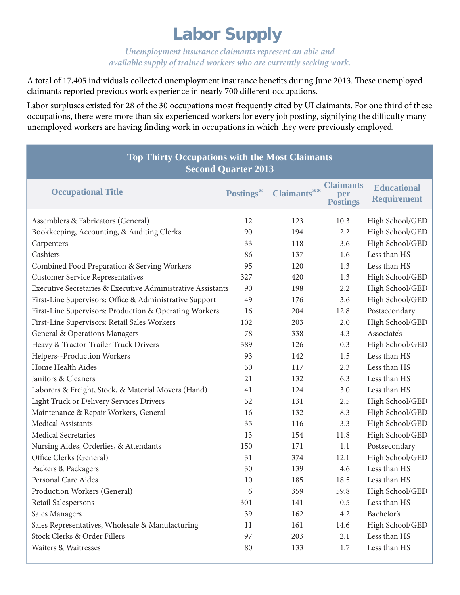# **Labor Supply**

*Unemployment insurance claimants represent an able and available supply of trained workers who are currently seeking work.*

A total of 17,405 individuals collected unemployment insurance benefits during June 2013. These unemployed claimants reported previous work experience in nearly 700 different occupations.

Labor surpluses existed for 28 of the 30 occupations most frequently cited by UI claimants. For one third of these occupations, there were more than six experienced workers for every job posting, signifying the difficulty many unemployed workers are having finding work in occupations in which they were previously employed.

| <b>Top Thirty Occupations with the Most Claimants</b><br><b>Second Quarter 2013</b> |           |             |                                            |                                          |  |
|-------------------------------------------------------------------------------------|-----------|-------------|--------------------------------------------|------------------------------------------|--|
| <b>Occupational Title</b>                                                           | Postings* | Claimants** | <b>Claimants</b><br>per<br><b>Postings</b> | <b>Educational</b><br><b>Requirement</b> |  |
| Assemblers & Fabricators (General)                                                  | 12        | 123         | 10.3                                       | High School/GED                          |  |
| Bookkeeping, Accounting, & Auditing Clerks                                          | 90        | 194         | 2.2                                        | High School/GED                          |  |
| Carpenters                                                                          | 33        | 118         | 3.6                                        | High School/GED                          |  |
| Cashiers                                                                            | 86        | 137         | 1.6                                        | Less than HS                             |  |
| Combined Food Preparation & Serving Workers                                         | 95        | 120         | 1.3                                        | Less than HS                             |  |
| <b>Customer Service Representatives</b>                                             | 327       | 420         | 1.3                                        | High School/GED                          |  |
| Executive Secretaries & Executive Administrative Assistants                         | 90        | 198         | 2.2                                        | High School/GED                          |  |
| First-Line Supervisors: Office & Administrative Support                             | 49        | 176         | 3.6                                        | High School/GED                          |  |
| First-Line Supervisors: Production & Operating Workers                              | 16        | 204         | 12.8                                       | Postsecondary                            |  |
| First-Line Supervisors: Retail Sales Workers                                        | 102       | 203         | 2.0                                        | High School/GED                          |  |
| General & Operations Managers                                                       | 78        | 338         | 4.3                                        | Associate's                              |  |
| Heavy & Tractor-Trailer Truck Drivers                                               | 389       | 126         | 0.3                                        | High School/GED                          |  |
| Helpers--Production Workers                                                         | 93        | 142         | 1.5                                        | Less than HS                             |  |
| Home Health Aides                                                                   | 50        | 117         | 2.3                                        | Less than HS                             |  |
| Janitors & Cleaners                                                                 | 21        | 132         | 6.3                                        | Less than HS                             |  |
| Laborers & Freight, Stock, & Material Movers (Hand)                                 | 41        | 124         | 3.0                                        | Less than HS                             |  |
| Light Truck or Delivery Services Drivers                                            | 52        | 131         | 2.5                                        | High School/GED                          |  |
| Maintenance & Repair Workers, General                                               | 16        | 132         | 8.3                                        | High School/GED                          |  |
| Medical Assistants                                                                  | 35        | 116         | 3.3                                        | High School/GED                          |  |
| <b>Medical Secretaries</b>                                                          | 13        | 154         | 11.8                                       | High School/GED                          |  |
| Nursing Aides, Orderlies, & Attendants                                              | 150       | 171         | 1.1                                        | Postsecondary                            |  |
| Office Clerks (General)                                                             | 31        | 374         | 12.1                                       | High School/GED                          |  |
| Packers & Packagers                                                                 | 30        | 139         | 4.6                                        | Less than HS                             |  |
| Personal Care Aides                                                                 | 10        | 185         | 18.5                                       | Less than HS                             |  |
| Production Workers (General)                                                        | 6         | 359         | 59.8                                       | High School/GED                          |  |
| Retail Salespersons                                                                 | 301       | 141         | 0.5                                        | Less than HS                             |  |
| Sales Managers                                                                      | 39        | 162         | 4.2                                        | Bachelor's                               |  |
| Sales Representatives, Wholesale & Manufacturing                                    | 11        | 161         | 14.6                                       | High School/GED                          |  |
| Stock Clerks & Order Fillers                                                        | 97        | 203         | 2.1                                        | Less than HS                             |  |
| Waiters & Waitresses                                                                | 80        | 133         | 1.7                                        | Less than HS                             |  |